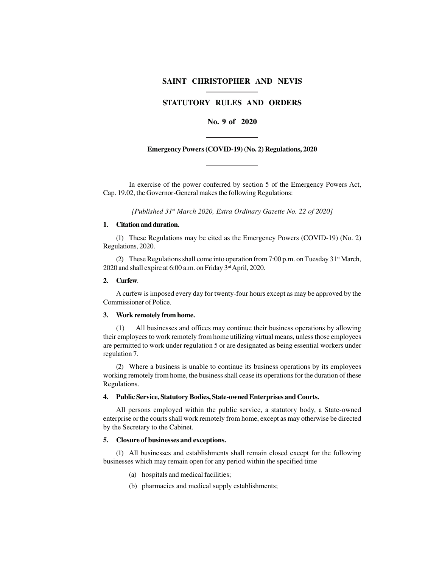# **SAINT CHRISTOPHER AND NEVIS**

# **STATUTORY RULES AND ORDERS**

# **No. 9 of 2020**

### **Emergency Powers (COVID-19) (No. 2) Regulations, 2020**

In exercise of the power conferred by section 5 of the Emergency Powers Act, Cap. 19.02, the Governor-General makes the following Regulations:

*[Published 31st March 2020, Extra Ordinary Gazette No. 22 of 2020]*

### **1. Citation and duration.**

(1) These Regulations may be cited as the Emergency Powers (COVID-19) (No. 2) Regulations, 2020.

(2) These Regulations shall come into operation from 7:00 p.m. on Tuesday 31<sup>st</sup> March, 2020 and shall expire at 6:00 a.m. on Friday 3<sup>rd</sup> April, 2020.

### **2. Curfew**.

A curfew is imposed every day for twenty-four hours except as may be approved by the Commissioner of Police.

# **3. Work remotely from home.**

(1) All businesses and offices may continue their business operations by allowing their employees to work remotely from home utilizing virtual means, unless those employees are permitted to work under regulation 5 or are designated as being essential workers under regulation 7.

(2) Where a business is unable to continue its business operations by its employees working remotely from home, the business shall cease its operations for the duration of these Regulations.

### **4. Public Service, Statutory Bodies, State-owned Enterprises and Courts.**

All persons employed within the public service, a statutory body, a State-owned enterprise or the courts shall work remotely from home, except as may otherwise be directed by the Secretary to the Cabinet.

### **5. Closure of businesses and exceptions.**

(1) All businesses and establishments shall remain closed except for the following businesses which may remain open for any period within the specified time

- (a) hospitals and medical facilities;
- (b) pharmacies and medical supply establishments;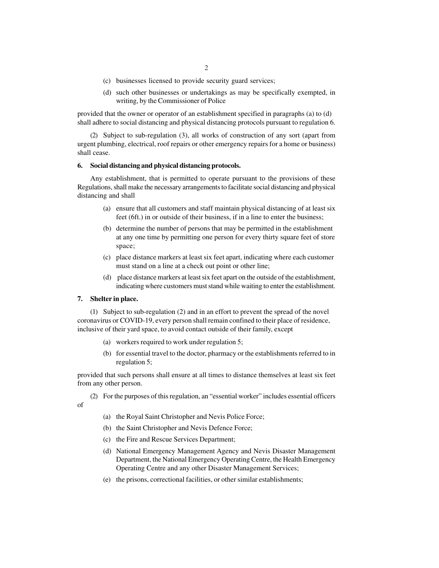- (c) businesses licensed to provide security guard services;
- (d) such other businesses or undertakings as may be specifically exempted, in writing, by the Commissioner of Police

provided that the owner or operator of an establishment specified in paragraphs (a) to (d) shall adhere to social distancing and physical distancing protocols pursuant to regulation 6.

(2) Subject to sub-regulation (3), all works of construction of any sort (apart from urgent plumbing, electrical, roof repairs or other emergency repairs for a home or business) shall cease.

# **6. Social distancing and physical distancing protocols.**

Any establishment, that is permitted to operate pursuant to the provisions of these Regulations, shall make the necessary arrangements to facilitate social distancing and physical distancing and shall

- (a) ensure that all customers and staff maintain physical distancing of at least six feet (6ft.) in or outside of their business, if in a line to enter the business;
- (b) determine the number of persons that may be permitted in the establishment at any one time by permitting one person for every thirty square feet of store space;
- (c) place distance markers at least six feet apart, indicating where each customer must stand on a line at a check out point or other line;
- (d) place distance markers at least six feet apart on the outside of the establishment, indicating where customers must stand while waiting to enter the establishment.

### **7. Shelter in place.**

of

(1) Subject to sub-regulation (2) and in an effort to prevent the spread of the novel coronavirus or COVID-19, every person shall remain confined to their place of residence, inclusive of their yard space, to avoid contact outside of their family, except

- (a) workers required to work under regulation 5;
- (b) for essential travel to the doctor, pharmacy or the establishments referred to in regulation 5;

provided that such persons shall ensure at all times to distance themselves at least six feet from any other person.

(2) For the purposes of this regulation, an "essential worker" includes essential officers

- (a) the Royal Saint Christopher and Nevis Police Force;
- (b) the Saint Christopher and Nevis Defence Force;
- (c) the Fire and Rescue Services Department;
- (d) National Emergency Management Agency and Nevis Disaster Management Department, the National Emergency Operating Centre, the Health Emergency Operating Centre and any other Disaster Management Services;
- (e) the prisons, correctional facilities, or other similar establishments;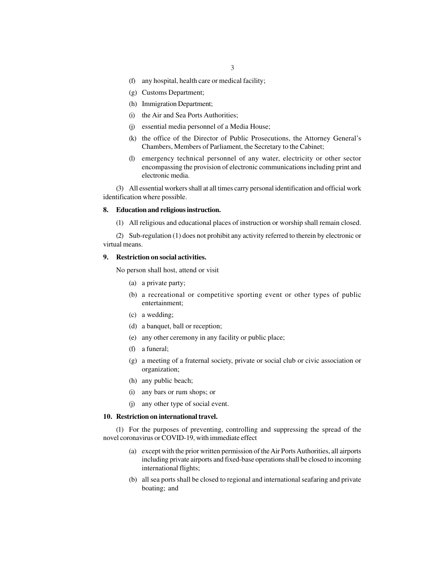- (f) any hospital, health care or medical facility;
- (g) Customs Department;
- (h) Immigration Department;
- (i) the Air and Sea Ports Authorities;
- (j) essential media personnel of a Media House;
- (k) the office of the Director of Public Prosecutions, the Attorney General's Chambers, Members of Parliament, the Secretary to the Cabinet;
- (l) emergency technical personnel of any water, electricity or other sector encompassing the provision of electronic communications including print and electronic media.

(3) All essential workers shall at all times carry personal identification and official work identification where possible.

### **8. Education and religious instruction.**

(1) All religious and educational places of instruction or worship shall remain closed.

(2) Sub-regulation (1) does not prohibit any activity referred to therein by electronic or virtual means.

### **9. Restriction on social activities.**

No person shall host, attend or visit

- (a) a private party;
- (b) a recreational or competitive sporting event or other types of public entertainment;
- (c) a wedding;
- (d) a banquet, ball or reception;
- (e) any other ceremony in any facility or public place;
- (f) a funeral;
- (g) a meeting of a fraternal society, private or social club or civic association or organization;
- (h) any public beach;
- (i) any bars or rum shops; or
- (j) any other type of social event.

#### **10. Restriction on international travel.**

(1) For the purposes of preventing, controlling and suppressing the spread of the novel coronavirus or COVID-19, with immediate effect

- (a) except with the prior written permission of the Air Ports Authorities, all airports including private airports and fixed-base operations shall be closed to incoming international flights;
- (b) all sea ports shall be closed to regional and international seafaring and private boating; and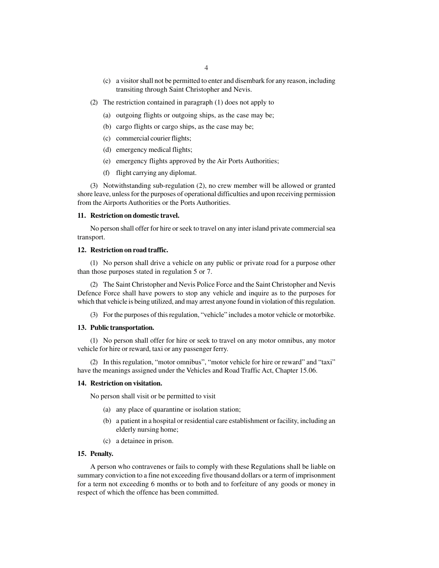- (c) a visitor shall not be permitted to enter and disembark for any reason, including transiting through Saint Christopher and Nevis.
- (2) The restriction contained in paragraph (1) does not apply to
	- (a) outgoing flights or outgoing ships, as the case may be;
	- (b) cargo flights or cargo ships, as the case may be;
	- (c) commercial courier flights;
	- (d) emergency medical flights;
	- (e) emergency flights approved by the Air Ports Authorities;
	- (f) flight carrying any diplomat.

(3) Notwithstanding sub-regulation (2), no crew member will be allowed or granted shore leave, unless for the purposes of operational difficulties and upon receiving permission from the Airports Authorities or the Ports Authorities.

#### **11. Restriction on domestic travel.**

No person shall offer for hire or seek to travel on any inter island private commercial sea transport.

### **12. Restriction on road traffic.**

(1) No person shall drive a vehicle on any public or private road for a purpose other than those purposes stated in regulation 5 or 7.

(2) The Saint Christopher and Nevis Police Force and the Saint Christopher and Nevis Defence Force shall have powers to stop any vehicle and inquire as to the purposes for which that vehicle is being utilized, and may arrest anyone found in violation of this regulation.

(3) For the purposes of this regulation, "vehicle" includes a motor vehicle or motorbike.

#### **13. Public transportation.**

(1) No person shall offer for hire or seek to travel on any motor omnibus, any motor vehicle for hire or reward, taxi or any passenger ferry.

(2) In this regulation, "motor omnibus", "motor vehicle for hire or reward" and "taxi" have the meanings assigned under the Vehicles and Road Traffic Act, Chapter 15.06.

### **14. Restriction on visitation.**

No person shall visit or be permitted to visit

- (a) any place of quarantine or isolation station;
- (b) a patient in a hospital or residential care establishment or facility, including an elderly nursing home;
- (c) a detainee in prison.

### **15. Penalty.**

A person who contravenes or fails to comply with these Regulations shall be liable on summary conviction to a fine not exceeding five thousand dollars or a term of imprisonment for a term not exceeding 6 months or to both and to forfeiture of any goods or money in respect of which the offence has been committed.